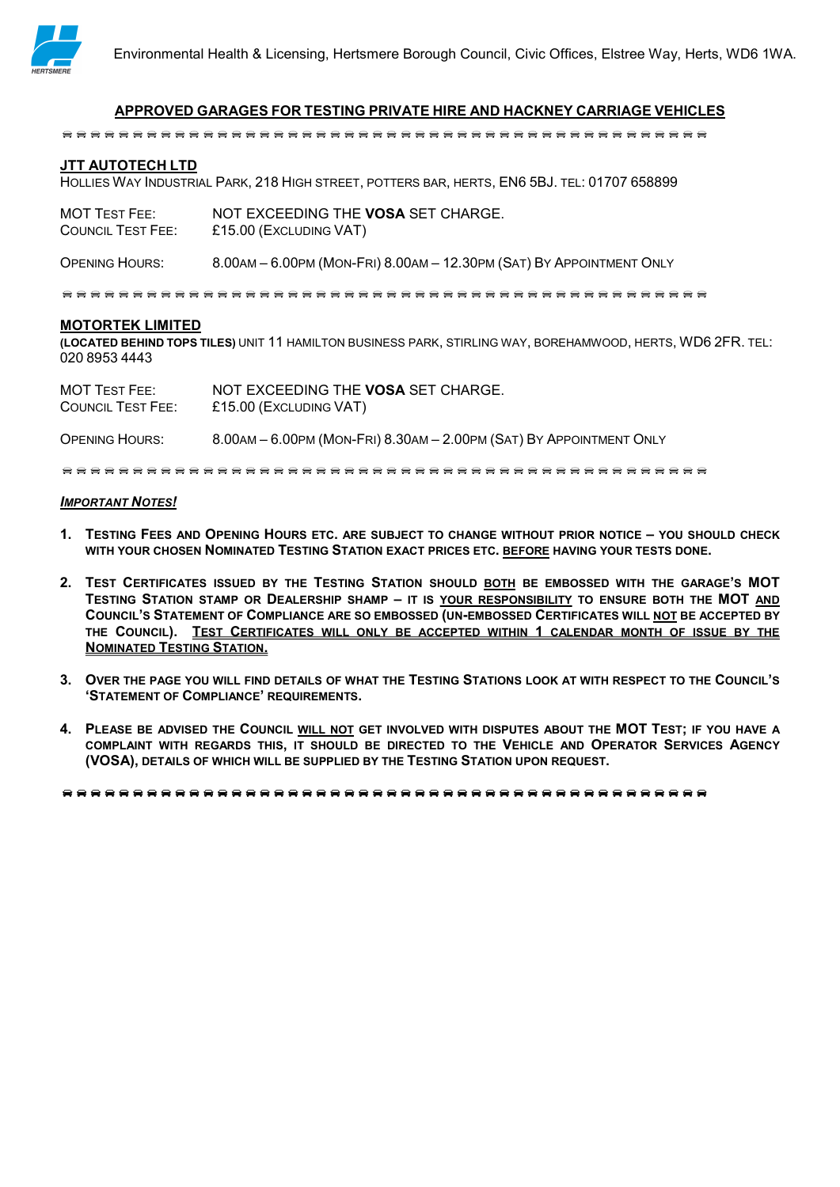

## APPROVED GARAGES FOR TESTING PRIVATE HIRE AND HACKNEY CARRIAGE VEHICLES

#### JTT AUTOTECH LTD

HOLLIES WAY INDUSTRIAL PARK, 218 HIGH STREET, POTTERS BAR, HERTS, EN6 5BJ. TEL: 01707 658899

| <b>MOT TEST FEE:</b>     | NOT EXCEEDING THE VOSA SET CHARGE. |
|--------------------------|------------------------------------|
| <b>COUNCIL TEST FEE:</b> | £15.00 (EXCLUDING VAT)             |

OPENING HOURS: 8.00AM – 6.00PM (MON-FRI) 8.00AM – 12.30PM (SAT) BY APPOINTMENT ONLY

#### MOTORTEK LIMITED

(LOCATED BEHIND TOPS TILES) UNIT 11 HAMILTON BUSINESS PARK, STIRLING WAY, BOREHAMWOOD, HERTS, WD6 2FR. TEL: 020 8953 4443

MOT TEST FEE: NOT EXCEEDING THE VOSA SET CHARGE. COUNCIL TEST FEE: £15.00 (EXCLUDING VAT)

OPENING HOURS: 8.00AM – 6.00PM (MON-FRI) 8.30AM – 2.00PM (SAT) BY APPOINTMENT ONLY

#### **IMPORTANT NOTES!**

- 1. TESTING FEES AND OPENING HOURS ETC. ARE SUBJECT TO CHANGE WITHOUT PRIOR NOTICE YOU SHOULD CHECK WITH YOUR CHOSEN NOMINATED TESTING STATION EXACT PRICES ETC. BEFORE HAVING YOUR TESTS DONE.
- 2. TEST CERTIFICATES ISSUED BY THE TESTING STATION SHOULD BOTH BE EMBOSSED WITH THE GARAGE'S MOT TESTING STATION STAMP OR DEALERSHIP SHAMP – IT IS YOUR RESPONSIBILITY TO ENSURE BOTH THE MOT AND COUNCIL'S STATEMENT OF COMPLIANCE ARE SO EMBOSSED (UN-EMBOSSED CERTIFICATES WILL NOT BE ACCEPTED BY THE COUNCIL). TEST CERTIFICATES WILL ONLY BE ACCEPTED WITHIN 1 CALENDAR MONTH OF ISSUE BY THE NOMINATED TESTING STATION.
- 3. OVER THE PAGE YOU WILL FIND DETAILS OF WHAT THE TESTING STATIONS LOOK AT WITH RESPECT TO THE COUNCIL'S 'STATEMENT OF COMPLIANCE' REQUIREMENTS.
- 4. PLEASE BE ADVISED THE COUNCIL WILL NOT GET INVOLVED WITH DISPUTES ABOUT THE MOT TEST; IF YOU HAVE A COMPLAINT WITH REGARDS THIS, IT SHOULD BE DIRECTED TO THE VEHICLE AND OPERATOR SERVICES AGENCY (VOSA), DETAILS OF WHICH WILL BE SUPPLIED BY THE TESTING STATION UPON REQUEST.